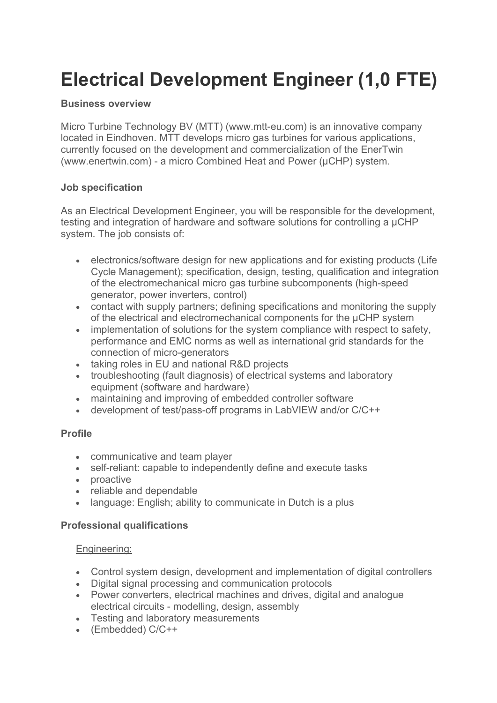# **Electrical Development Engineer (1,0 FTE)**

# **Business overview**

Micro Turbine Technology BV (MTT) (www.mtt-eu.com) is an innovative company located in Eindhoven. MTT develops micro gas turbines for various applications, currently focused on the development and commercialization of the EnerTwin (www.enertwin.com) - a micro Combined Heat and Power (µCHP) system.

## **Job specification**

As an Electrical Development Engineer, you will be responsible for the development, testing and integration of hardware and software solutions for controlling a µCHP system. The job consists of:

- electronics/software design for new applications and for existing products (Life Cycle Management); specification, design, testing, qualification and integration of the electromechanical micro gas turbine subcomponents (high-speed generator, power inverters, control)
- contact with supply partners: defining specifications and monitoring the supply of the electrical and electromechanical components for the µCHP system
- implementation of solutions for the system compliance with respect to safety, performance and EMC norms as well as international grid standards for the connection of micro-generators
- taking roles in EU and national R&D projects
- troubleshooting (fault diagnosis) of electrical systems and laboratory equipment (software and hardware)
- maintaining and improving of embedded controller software
- development of test/pass-off programs in LabVIEW and/or C/C++

# **Profile**

- communicative and team player
- self-reliant: capable to independently define and execute tasks
- proactive
- reliable and dependable
- language: English; ability to communicate in Dutch is a plus

#### **Professional qualifications**

#### Engineering:

- Control system design, development and implementation of digital controllers
- Digital signal processing and communication protocols
- Power converters, electrical machines and drives, digital and analogue electrical circuits - modelling, design, assembly
- Testing and laboratory measurements
- (Embedded) C/C++